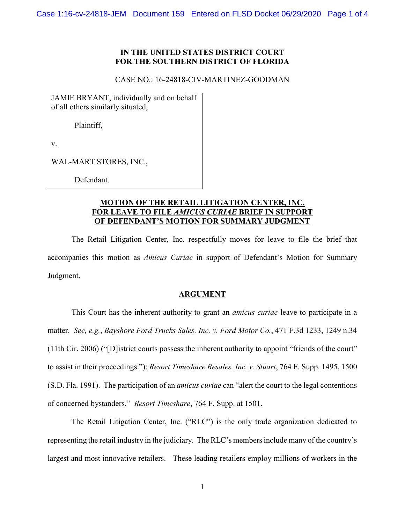#### **IN THE UNITED STATES DISTRICT COURT FOR THE SOUTHERN DISTRICT OF FLORIDA**

### CASE NO.: 16-24818-CIV-MARTINEZ-GOODMAN

JAMIE BRYANT, individually and on behalf of all others similarly situated,

Plaintiff,

v.

WAL-MART STORES, INC.,

Defendant.

## **MOTION OF THE RETAIL LITIGATION CENTER, INC. FOR LEAVE TO FILE** *AMICUS CURIAE* **BRIEF IN SUPPORT OF DEFENDANT'S MOTION FOR SUMMARY JUDGMENT**

The Retail Litigation Center, Inc. respectfully moves for leave to file the brief that accompanies this motion as *Amicus Curiae* in support of Defendant's Motion for Summary Judgment.

#### **ARGUMENT**

This Court has the inherent authority to grant an *amicus curiae* leave to participate in a matter. *See, e.g.*, *Bayshore Ford Trucks Sales, Inc. v. Ford Motor Co.*, 471 F.3d 1233, 1249 n.34 (11th Cir. 2006) ("[D]istrict courts possess the inherent authority to appoint "friends of the court" to assist in their proceedings."); *Resort Timeshare Resales, Inc. v. Stuart*, 764 F. Supp. 1495, 1500 (S.D. Fla. 1991). The participation of an *amicus curiae* can "alert the court to the legal contentions of concerned bystanders." *Resort Timeshare*, 764 F. Supp. at 1501.

The Retail Litigation Center, Inc. ("RLC") is the only trade organization dedicated to representing the retail industry in the judiciary. The RLC's members include many of the country's largest and most innovative retailers. These leading retailers employ millions of workers in the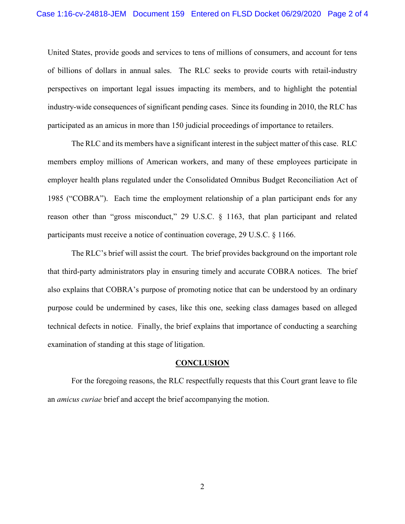United States, provide goods and services to tens of millions of consumers, and account for tens of billions of dollars in annual sales. The RLC seeks to provide courts with retail-industry perspectives on important legal issues impacting its members, and to highlight the potential industry-wide consequences of significant pending cases. Since its founding in 2010, the RLC has participated as an amicus in more than 150 judicial proceedings of importance to retailers.

The RLC and its members have a significant interest in the subject matter of this case. RLC members employ millions of American workers, and many of these employees participate in employer health plans regulated under the Consolidated Omnibus Budget Reconciliation Act of 1985 ("COBRA"). Each time the employment relationship of a plan participant ends for any reason other than "gross misconduct," 29 U.S.C. § 1163, that plan participant and related participants must receive a notice of continuation coverage, 29 U.S.C. § 1166.

The RLC's brief will assist the court. The brief provides background on the important role that third-party administrators play in ensuring timely and accurate COBRA notices. The brief also explains that COBRA's purpose of promoting notice that can be understood by an ordinary purpose could be undermined by cases, like this one, seeking class damages based on alleged technical defects in notice. Finally, the brief explains that importance of conducting a searching examination of standing at this stage of litigation.

#### **CONCLUSION**

For the foregoing reasons, the RLC respectfully requests that this Court grant leave to file an *amicus curiae* brief and accept the brief accompanying the motion.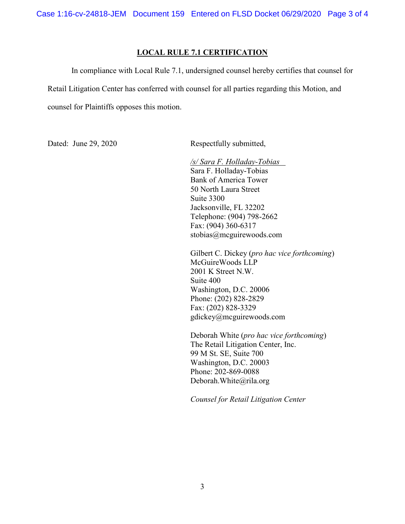Case 1:16-cv-24818-JEM Document 159 Entered on FLSD Docket 06/29/2020 Page 3 of 4

### **LOCAL RULE 7.1 CERTIFICATION**

In compliance with Local Rule 7.1, undersigned counsel hereby certifies that counsel for Retail Litigation Center has conferred with counsel for all parties regarding this Motion, and counsel for Plaintiffs opposes this motion.

Dated: June 29, 2020 Respectfully submitted,

*/s/ Sara F. Holladay-Tobias* Sara F. Holladay-Tobias Bank of America Tower 50 North Laura Street Suite 3300 Jacksonville, FL 32202 Telephone: (904) 798-2662 Fax: (904) 360-6317 stobias@mcguirewoods.com

Gilbert C. Dickey (*pro hac vice forthcoming*) McGuireWoods LLP 2001 K Street N.W. Suite 400 Washington, D.C. 20006 Phone: (202) 828-2829 Fax: (202) 828-3329 gdickey@mcguirewoods.com

Deborah White (*pro hac vice forthcoming*) The Retail Litigation Center, Inc. 99 M St. SE, Suite 700 Washington, D.C. 20003 Phone: 202-869-0088 Deborah.White@rila.org

*Counsel for Retail Litigation Center*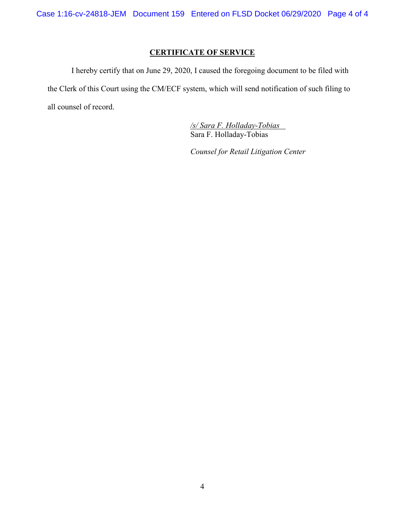Case 1:16-cv-24818-JEM Document 159 Entered on FLSD Docket 06/29/2020 Page 4 of 4

## **CERTIFICATE OF SERVICE**

I hereby certify that on June 29, 2020, I caused the foregoing document to be filed with the Clerk of this Court using the CM/ECF system, which will send notification of such filing to all counsel of record.

> */s/ Sara F. Holladay-Tobias* Sara F. Holladay-Tobias

*Counsel for Retail Litigation Center*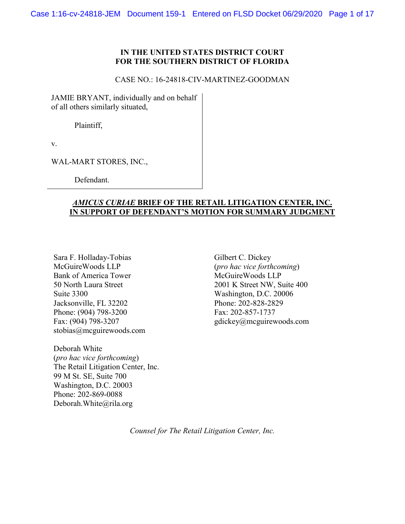## **IN THE UNITED STATES DISTRICT COURT FOR THE SOUTHERN DISTRICT OF FLORIDA**

#### CASE NO.: 16-24818-CIV-MARTINEZ-GOODMAN

JAMIE BRYANT, individually and on behalf of all others similarly situated,

Plaintiff,

v.

WAL-MART STORES, INC.,

Defendant.

## *AMICUS CURIAE* **BRIEF OF THE RETAIL LITIGATION CENTER, INC. IN SUPPORT OF DEFENDANT'S MOTION FOR SUMMARY JUDGMENT**

Sara F. Holladay-Tobias Gilbert C. Dickey McGuireWoods LLP (*pro hac vice forthcoming*)<br>Bank of America Tower McGuireWoods LLP Bank of America Tower Suite 3300<br>
Jacksonville. FL 32202<br>
Phone: 202-828-2829 Jacksonville, FL 32202 Phone: (904) 798-3200 Fax: 202-857-1737<br>Fax: (904) 798-3207 gdickey@mcguirew stobias@mcguirewoods.com

Deborah White (*pro hac vice forthcoming*) The Retail Litigation Center, Inc. 99 M St. SE, Suite 700 Washington, D.C. 20003 Phone: 202-869-0088 Deborah.White@rila.org

50 North Laura Street 2001 K Street NW, Suite 400 gdickey@mcguirewoods.com

*Counsel for The Retail Litigation Center, Inc.*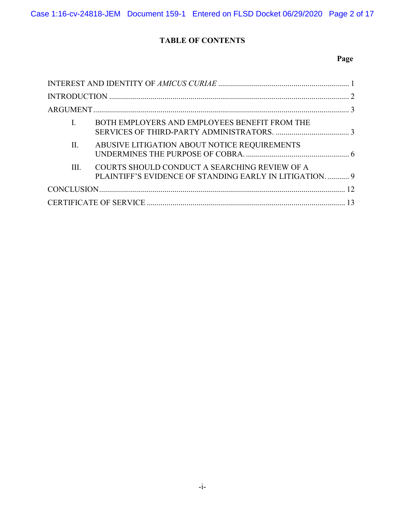# **TABLE OF CONTENTS**

## **Page**

|         | BOTH EMPLOYERS AND EMPLOYEES BENEFIT FROM THE                                                           |  |
|---------|---------------------------------------------------------------------------------------------------------|--|
| $\Pi$ . | ABUSIVE LITIGATION ABOUT NOTICE REQUIREMENTS                                                            |  |
| III.    | COURTS SHOULD CONDUCT A SEARCHING REVIEW OF A<br>PLAINTIFF'S EVIDENCE OF STANDING EARLY IN LITIGATION 9 |  |
|         |                                                                                                         |  |
|         |                                                                                                         |  |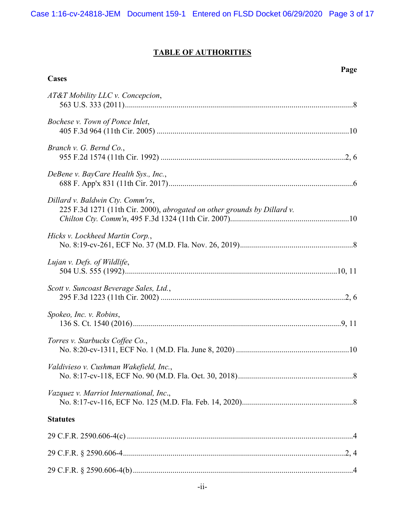# **TABLE OF AUTHORITIES**

**Page**

| Cases                                                                                                        |  |
|--------------------------------------------------------------------------------------------------------------|--|
| AT&T Mobility LLC v. Concepcion,                                                                             |  |
| Bochese v. Town of Ponce Inlet,                                                                              |  |
| Branch v. G. Bernd Co.,                                                                                      |  |
| DeBene v. BayCare Health Sys., Inc.,                                                                         |  |
| Dillard v. Baldwin Cty. Comm'rs,<br>225 F.3d 1271 (11th Cir. 2000), abrogated on other grounds by Dillard v. |  |
| Hicks v. Lockheed Martin Corp.,                                                                              |  |
| Lujan v. Defs. of Wildlife,                                                                                  |  |
| Scott v. Suncoast Beverage Sales, Ltd.,                                                                      |  |
| Spokeo, Inc. v. Robins,                                                                                      |  |
| Torres v. Starbucks Coffee Co.,                                                                              |  |
| Valdivieso v. Cushman Wakefield, Inc.,                                                                       |  |
| Vazquez v. Marriot International, Inc.,                                                                      |  |
| <b>Statutes</b>                                                                                              |  |
|                                                                                                              |  |
|                                                                                                              |  |
|                                                                                                              |  |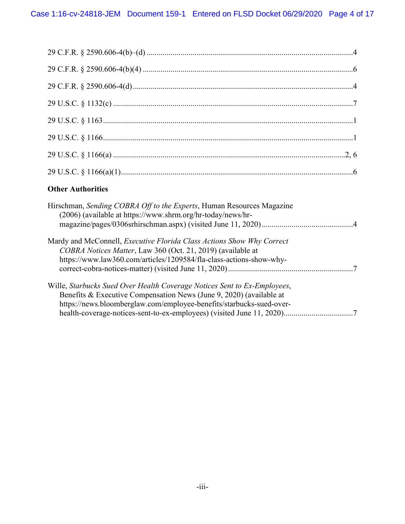# **Other Authorities**

| Hirschman, Sending COBRA Off to the Experts, Human Resources Magazine<br>(2006) (available at https://www.shrm.org/hr-today/news/hr-                                                                                    |
|-------------------------------------------------------------------------------------------------------------------------------------------------------------------------------------------------------------------------|
| Mardy and McConnell, <i>Executive Florida Class Actions Show Why Correct</i><br>COBRA Notices Matter, Law 360 (Oct. 21, 2019) (available at<br>https://www.law360.com/articles/1209584/fla-class-actions-show-why-      |
| Wille, Starbucks Sued Over Health Coverage Notices Sent to Ex-Employees,<br>Benefits & Executive Compensation News (June 9, 2020) (available at<br>https://news.bloomberglaw.com/employee-benefits/starbucks-sued-over- |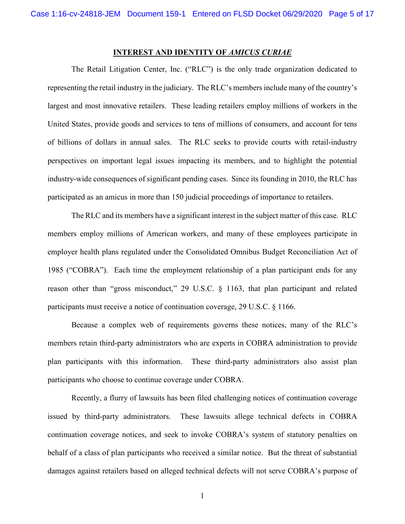#### **INTEREST AND IDENTITY OF** *AMICUS CURIAE*

<span id="page-8-0"></span>The Retail Litigation Center, Inc. ("RLC") is the only trade organization dedicated to representing the retail industry in the judiciary. The RLC's members include many of the country's largest and most innovative retailers. These leading retailers employ millions of workers in the United States, provide goods and services to tens of millions of consumers, and account for tens of billions of dollars in annual sales. The RLC seeks to provide courts with retail-industry perspectives on important legal issues impacting its members, and to highlight the potential industry-wide consequences of significant pending cases. Since its founding in 2010, the RLC has participated as an amicus in more than 150 judicial proceedings of importance to retailers.

The RLC and its members have a significant interest in the subject matter of this case. RLC members employ millions of American workers, and many of these employees participate in employer health plans regulated under the Consolidated Omnibus Budget Reconciliation Act of 1985 ("COBRA"). Each time the employment relationship of a plan participant ends for any reason other than "gross misconduct," 29 U.S.C. § 1163, that plan participant and related participants must receive a notice of continuation coverage, 29 U.S.C. § 1166.

<span id="page-8-2"></span><span id="page-8-1"></span>Because a complex web of requirements governs these notices, many of the RLC's members retain third-party administrators who are experts in COBRA administration to provide plan participants with this information. These third-party administrators also assist plan participants who choose to continue coverage under COBRA.

Recently, a flurry of lawsuits has been filed challenging notices of continuation coverage issued by third-party administrators. These lawsuits allege technical defects in COBRA continuation coverage notices, and seek to invoke COBRA's system of statutory penalties on behalf of a class of plan participants who received a similar notice. But the threat of substantial damages against retailers based on alleged technical defects will not serve COBRA's purpose of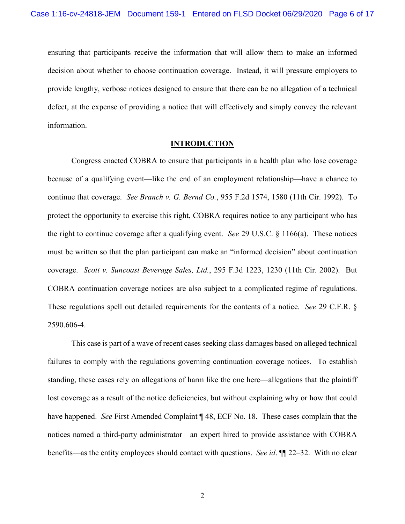ensuring that participants receive the information that will allow them to make an informed decision about whether to choose continuation coverage. Instead, it will pressure employers to provide lengthy, verbose notices designed to ensure that there can be no allegation of a technical defect, at the expense of providing a notice that will effectively and simply convey the relevant information.

#### <span id="page-9-4"></span><span id="page-9-3"></span><span id="page-9-1"></span>**INTRODUCTION**

<span id="page-9-0"></span>Congress enacted COBRA to ensure that participants in a health plan who lose coverage because of a qualifying event—like the end of an employment relationship—have a chance to continue that coverage. *See Branch v. G. Bernd Co.*, 955 F.2d 1574, 1580 (11th Cir. 1992). To protect the opportunity to exercise this right, COBRA requires notice to any participant who has the right to continue coverage after a qualifying event. *See* 29 U.S.C. § 1166(a). These notices must be written so that the plan participant can make an "informed decision" about continuation coverage. *Scott v. Suncoast Beverage Sales, Ltd.*, 295 F.3d 1223, 1230 (11th Cir. 2002). But COBRA continuation coverage notices are also subject to a complicated regime of regulations. These regulations spell out detailed requirements for the contents of a notice. *See* 29 C.F.R. § 2590.606-4.

<span id="page-9-2"></span>This case is part of a wave of recent cases seeking class damages based on alleged technical failures to comply with the regulations governing continuation coverage notices. To establish standing, these cases rely on allegations of harm like the one here—allegations that the plaintiff lost coverage as a result of the notice deficiencies, but without explaining why or how that could have happened. *See* First Amended Complaint ¶ 48, ECF No. 18. These cases complain that the notices named a third-party administrator—an expert hired to provide assistance with COBRA benefits—as the entity employees should contact with questions. *See id*. ¶¶ 22–32. With no clear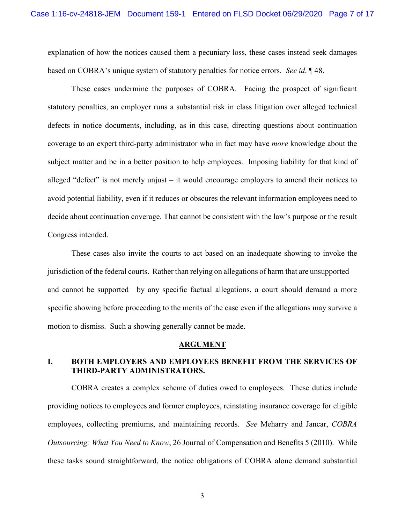explanation of how the notices caused them a pecuniary loss, these cases instead seek damages based on COBRA's unique system of statutory penalties for notice errors. *See id*. ¶ 48.

These cases undermine the purposes of COBRA. Facing the prospect of significant statutory penalties, an employer runs a substantial risk in class litigation over alleged technical defects in notice documents, including, as in this case, directing questions about continuation coverage to an expert third-party administrator who in fact may have *more* knowledge about the subject matter and be in a better position to help employees. Imposing liability for that kind of alleged "defect" is not merely unjust – it would encourage employers to amend their notices to avoid potential liability, even if it reduces or obscures the relevant information employees need to decide about continuation coverage. That cannot be consistent with the law's purpose or the result Congress intended.

These cases also invite the courts to act based on an inadequate showing to invoke the jurisdiction of the federal courts. Rather than relying on allegations of harm that are unsupported and cannot be supported—by any specific factual allegations, a court should demand a more specific showing before proceeding to the merits of the case even if the allegations may survive a motion to dismiss. Such a showing generally cannot be made.

#### **ARGUMENT**

## <span id="page-10-1"></span><span id="page-10-0"></span>**I. BOTH EMPLOYERS AND EMPLOYEES BENEFIT FROM THE SERVICES OF THIRD-PARTY ADMINISTRATORS.**

COBRA creates a complex scheme of duties owed to employees. These duties include providing notices to employees and former employees, reinstating insurance coverage for eligible employees, collecting premiums, and maintaining records. *See* Meharry and Jancar, *COBRA Outsourcing: What You Need to Know*, 26 Journal of Compensation and Benefits 5 (2010). While these tasks sound straightforward, the notice obligations of COBRA alone demand substantial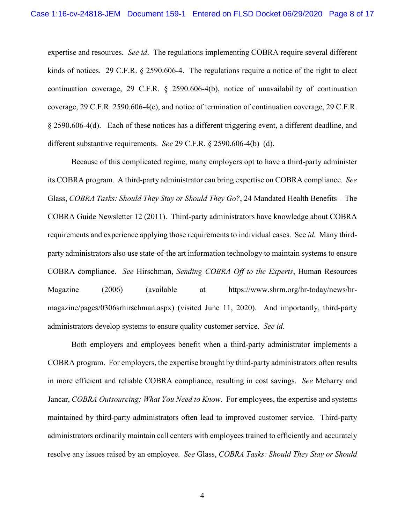<span id="page-11-4"></span><span id="page-11-2"></span><span id="page-11-1"></span><span id="page-11-0"></span>expertise and resources. *See id*. The regulations implementing COBRA require several different kinds of notices. 29 C.F.R. § 2590.606-4. The regulations require a notice of the right to elect continuation coverage, 29 C.F.R. § 2590.606-4(b), notice of unavailability of continuation coverage, 29 C.F.R. 2590.606-4(c), and notice of termination of continuation coverage, 29 C.F.R. § 2590.606-4(d). Each of these notices has a different triggering event, a different deadline, and different substantive requirements. *See* 29 C.F.R. § 2590.606-4(b)–(d).

<span id="page-11-3"></span>Because of this complicated regime, many employers opt to have a third-party administer its COBRA program. A third-party administrator can bring expertise on COBRA compliance. *See* Glass, *COBRA Tasks: Should They Stay or Should They Go?*, 24 Mandated Health Benefits – The COBRA Guide Newsletter 12 (2011). Third-party administrators have knowledge about COBRA requirements and experience applying those requirements to individual cases. See *id.* Many thirdparty administrators also use state-of-the art information technology to maintain systems to ensure COBRA compliance. *See* Hirschman, *Sending COBRA Off to the Experts*, Human Resources Magazine (2006) (available at https://www.shrm.org/hr-today/news/hrmagazine/pages/0306srhirschman.aspx) (visited June 11, 2020). And importantly, third-party administrators develop systems to ensure quality customer service. *See id*.

<span id="page-11-5"></span>Both employers and employees benefit when a third-party administrator implements a COBRA program. For employers, the expertise brought by third-party administrators often results in more efficient and reliable COBRA compliance, resulting in cost savings. *See* Meharry and Jancar, *COBRA Outsourcing: What You Need to Know*. For employees, the expertise and systems maintained by third-party administrators often lead to improved customer service. Third-party administrators ordinarily maintain call centers with employees trained to efficiently and accurately resolve any issues raised by an employee. *See* Glass, *COBRA Tasks: Should They Stay or Should*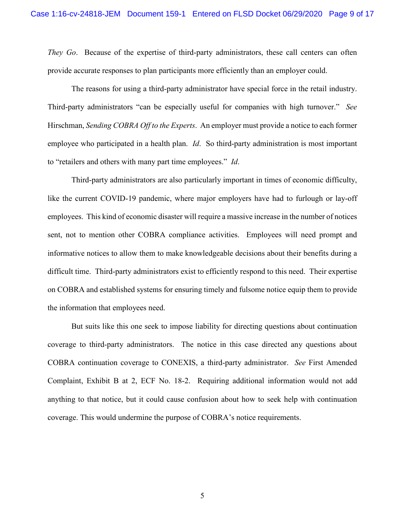*They Go*. Because of the expertise of third-party administrators, these call centers can often provide accurate responses to plan participants more efficiently than an employer could.

The reasons for using a third-party administrator have special force in the retail industry. Third-party administrators "can be especially useful for companies with high turnover." *See* Hirschman, *Sending COBRA Off to the Experts*. An employer must provide a notice to each former employee who participated in a health plan. *Id*. So third-party administration is most important to "retailers and others with many part time employees." *Id*.

Third-party administrators are also particularly important in times of economic difficulty, like the current COVID-19 pandemic, where major employers have had to furlough or lay-off employees. This kind of economic disaster will require a massive increase in the number of notices sent, not to mention other COBRA compliance activities. Employees will need prompt and informative notices to allow them to make knowledgeable decisions about their benefits during a difficult time. Third-party administrators exist to efficiently respond to this need. Their expertise on COBRA and established systems for ensuring timely and fulsome notice equip them to provide the information that employees need.

But suits like this one seek to impose liability for directing questions about continuation coverage to third-party administrators. The notice in this case directed any questions about COBRA continuation coverage to CONEXIS, a third-party administrator. *See* First Amended Complaint, Exhibit B at 2, ECF No. 18-2. Requiring additional information would not add anything to that notice, but it could cause confusion about how to seek help with continuation coverage. This would undermine the purpose of COBRA's notice requirements.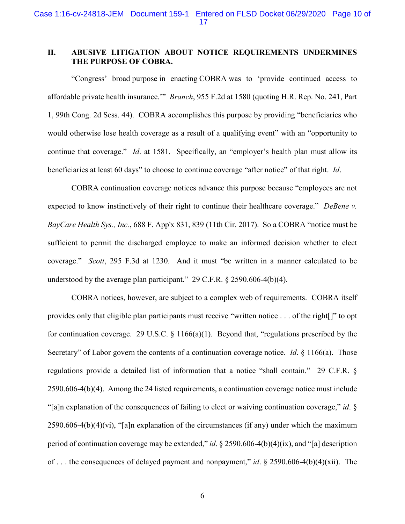## <span id="page-13-0"></span>**II. ABUSIVE LITIGATION ABOUT NOTICE REQUIREMENTS UNDERMINES THE PURPOSE OF COBRA.**

<span id="page-13-1"></span>"Congress' broad purpose in enacting COBRA was to 'provide continued access to affordable private health insurance.'" *Branch*, 955 F.2d at 1580 (quoting H.R. Rep. No. 241, Part 1, 99th Cong. 2d Sess. 44). COBRA accomplishes this purpose by providing "beneficiaries who would otherwise lose health coverage as a result of a qualifying event" with an "opportunity to continue that coverage." *Id*. at 1581. Specifically, an "employer's health plan must allow its beneficiaries at least 60 days" to choose to continue coverage "after notice" of that right. *Id*.

<span id="page-13-2"></span>COBRA continuation coverage notices advance this purpose because "employees are not expected to know instinctively of their right to continue their healthcare coverage." *DeBene v. BayCare Health Sys., Inc.*, 688 F. App'x 831, 839 (11th Cir. 2017). So a COBRA "notice must be sufficient to permit the discharged employee to make an informed decision whether to elect coverage." *Scott*, 295 F.3d at 1230. And it must "be written in a manner calculated to be understood by the average plan participant." 29 C.F.R. § 2590.606-4(b)(4).

<span id="page-13-6"></span><span id="page-13-5"></span><span id="page-13-4"></span><span id="page-13-3"></span>COBRA notices, however, are subject to a complex web of requirements. COBRA itself provides only that eligible plan participants must receive "written notice . . . of the right[]" to opt for continuation coverage. 29 U.S.C. § 1166(a)(1). Beyond that, "regulations prescribed by the Secretary" of Labor govern the contents of a continuation coverage notice. *Id*. § 1166(a). Those regulations provide a detailed list of information that a notice "shall contain." 29 C.F.R. § 2590.606-4(b)(4). Among the 24 listed requirements, a continuation coverage notice must include "[a]n explanation of the consequences of failing to elect or waiving continuation coverage," *id*. § 2590.606-4(b)(4)(vi), "[a]n explanation of the circumstances (if any) under which the maximum period of continuation coverage may be extended," *id*. § 2590.606-4(b)(4)(ix), and "[a] description of . . . the consequences of delayed payment and nonpayment," *id*. § 2590.606-4(b)(4)(xii). The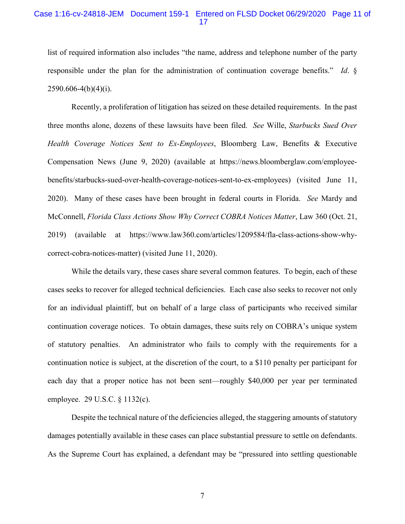## Case 1:16-cv-24818-JEM Document 159-1 Entered on FLSD Docket 06/29/2020 Page 11 of 17

list of required information also includes "the name, address and telephone number of the party responsible under the plan for the administration of continuation coverage benefits." *Id*. §  $2590.606-4(b)(4)(i)$ .

<span id="page-14-2"></span>Recently, a proliferation of litigation has seized on these detailed requirements. In the past three months alone, dozens of these lawsuits have been filed. *See* Wille, *Starbucks Sued Over Health Coverage Notices Sent to Ex-Employees*, Bloomberg Law, Benefits & Executive Compensation News (June 9, 2020) (available at https://news.bloomberglaw.com/employeebenefits/starbucks-sued-over-health-coverage-notices-sent-to-ex-employees) (visited June 11, 2020). Many of these cases have been brought in federal courts in Florida. *See* Mardy and McConnell, *Florida Class Actions Show Why Correct COBRA Notices Matter*, Law 360 (Oct. 21, 2019) (available at https://www.law360.com/articles/1209584/fla-class-actions-show-whycorrect-cobra-notices-matter) (visited June 11, 2020).

<span id="page-14-1"></span>While the details vary, these cases share several common features. To begin, each of these cases seeks to recover for alleged technical deficiencies. Each case also seeks to recover not only for an individual plaintiff, but on behalf of a large class of participants who received similar continuation coverage notices. To obtain damages, these suits rely on COBRA's unique system of statutory penalties. An administrator who fails to comply with the requirements for a continuation notice is subject, at the discretion of the court, to a \$110 penalty per participant for each day that a proper notice has not been sent—roughly \$40,000 per year per terminated employee. 29 U.S.C. § 1132(c).

<span id="page-14-0"></span>Despite the technical nature of the deficiencies alleged, the staggering amounts of statutory damages potentially available in these cases can place substantial pressure to settle on defendants. As the Supreme Court has explained, a defendant may be "pressured into settling questionable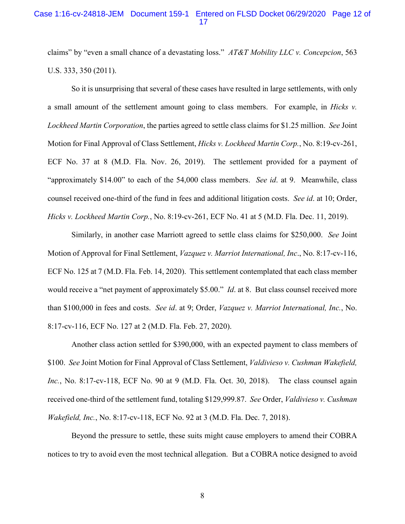<span id="page-15-0"></span>claims" by "even a small chance of a devastating loss." *AT&T Mobility LLC v. Concepcion*, 563 U.S. 333, 350 (2011).

<span id="page-15-1"></span>So it is unsurprising that several of these cases have resulted in large settlements, with only a small amount of the settlement amount going to class members. For example, in *Hicks v. Lockheed Martin Corporation*, the parties agreed to settle class claims for \$1.25 million. *See* Joint Motion for Final Approval of Class Settlement, *Hicks v. Lockheed Martin Corp.*, No. 8:19-cv-261, ECF No. 37 at 8 (M.D. Fla. Nov. 26, 2019). The settlement provided for a payment of "approximately \$14.00" to each of the 54,000 class members. *See id*. at 9. Meanwhile, class counsel received one-third of the fund in fees and additional litigation costs. *See id*. at 10; Order, *Hicks v. Lockheed Martin Corp.*, No. 8:19-cv-261, ECF No. 41 at 5 (M.D. Fla. Dec. 11, 2019).

<span id="page-15-3"></span>Similarly, in another case Marriott agreed to settle class claims for \$250,000. *See* Joint Motion of Approval for Final Settlement, *Vazquez v. Marriot International, Inc*., No. 8:17-cv-116, ECF No. 125 at 7 (M.D. Fla. Feb. 14, 2020). This settlement contemplated that each class member would receive a "net payment of approximately \$5.00." *Id*. at 8. But class counsel received more than \$100,000 in fees and costs. *See id*. at 9; Order, *Vazquez v. Marriot International, Inc.*, No. 8:17-cv-116, ECF No. 127 at 2 (M.D. Fla. Feb. 27, 2020).

<span id="page-15-2"></span>Another class action settled for \$390,000, with an expected payment to class members of \$100. *See* Joint Motion for Final Approval of Class Settlement, *Valdivieso v. Cushman Wakefield, Inc.*, No. 8:17-cv-118, ECF No. 90 at 9 (M.D. Fla. Oct. 30, 2018). The class counsel again received one-third of the settlement fund, totaling \$129,999.87. *See* Order, *Valdivieso v. Cushman Wakefield, Inc.*, No. 8:17-cv-118, ECF No. 92 at 3 (M.D. Fla. Dec. 7, 2018).

Beyond the pressure to settle, these suits might cause employers to amend their COBRA notices to try to avoid even the most technical allegation. But a COBRA notice designed to avoid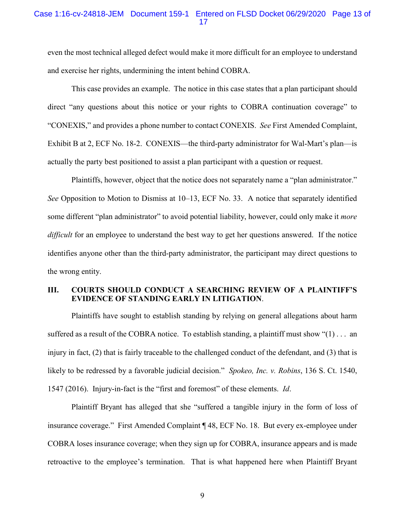## Case 1:16-cv-24818-JEM Document 159-1 Entered on FLSD Docket 06/29/2020 Page 13 of 17

even the most technical alleged defect would make it more difficult for an employee to understand and exercise her rights, undermining the intent behind COBRA.

This case provides an example. The notice in this case states that a plan participant should direct "any questions about this notice or your rights to COBRA continuation coverage" to "CONEXIS," and provides a phone number to contact CONEXIS. *See* First Amended Complaint, Exhibit B at 2, ECF No. 18-2. CONEXIS—the third-party administrator for Wal-Mart's plan—is actually the party best positioned to assist a plan participant with a question or request.

Plaintiffs, however, object that the notice does not separately name a "plan administrator." *See* Opposition to Motion to Dismiss at 10–13, ECF No. 33. A notice that separately identified some different "plan administrator" to avoid potential liability, however, could only make it *more difficult* for an employee to understand the best way to get her questions answered. If the notice identifies anyone other than the third-party administrator, the participant may direct questions to the wrong entity.

## <span id="page-16-0"></span>**III. COURTS SHOULD CONDUCT A SEARCHING REVIEW OF A PLAINTIFF'S EVIDENCE OF STANDING EARLY IN LITIGATION**.

Plaintiffs have sought to establish standing by relying on general allegations about harm suffered as a result of the COBRA notice. To establish standing, a plaintiff must show "(1) . . . an injury in fact, (2) that is fairly traceable to the challenged conduct of the defendant, and (3) that is likely to be redressed by a favorable judicial decision." *Spokeo, Inc. v. Robins*, 136 S. Ct. 1540, 1547 (2016). Injury-in-fact is the "first and foremost" of these elements. *Id*.

<span id="page-16-1"></span>Plaintiff Bryant has alleged that she "suffered a tangible injury in the form of loss of insurance coverage." First Amended Complaint ¶ 48, ECF No. 18. But every ex-employee under COBRA loses insurance coverage; when they sign up for COBRA, insurance appears and is made retroactive to the employee's termination. That is what happened here when Plaintiff Bryant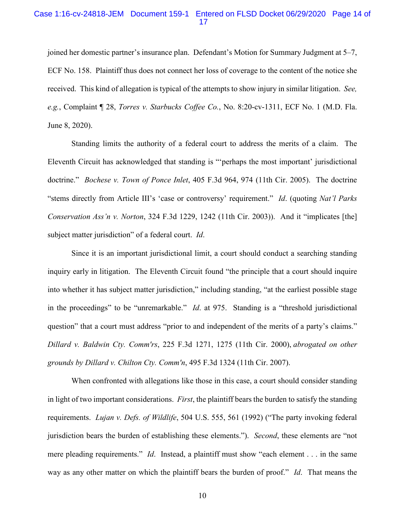## Case 1:16-cv-24818-JEM Document 159-1 Entered on FLSD Docket 06/29/2020 Page 14 of 17

joined her domestic partner's insurance plan. Defendant's Motion for Summary Judgment at 5–7, ECF No. 158. Plaintiff thus does not connect her loss of coverage to the content of the notice she received. This kind of allegation is typical of the attempts to show injury in similar litigation. *See, e.g.*, Complaint ¶ 28, *Torres v. Starbucks Coffee Co.*, No. 8:20-cv-1311, ECF No. 1 (M.D. Fla. June 8, 2020).

<span id="page-17-4"></span><span id="page-17-0"></span>Standing limits the authority of a federal court to address the merits of a claim. The Eleventh Circuit has acknowledged that standing is "'perhaps the most important' jurisdictional doctrine." *Bochese v. Town of Ponce Inlet*, 405 F.3d 964, 974 (11th Cir. 2005). The doctrine "stems directly from Article III's 'case or controversy' requirement." *Id*. (quoting *Nat'l Parks Conservation Ass'n v. Norton*, 324 F.3d 1229, 1242 (11th Cir. 2003)). And it "implicates [the] subject matter jurisdiction" of a federal court. *Id*.

Since it is an important jurisdictional limit, a court should conduct a searching standing inquiry early in litigation. The Eleventh Circuit found "the principle that a court should inquire into whether it has subject matter jurisdiction," including standing, "at the earliest possible stage in the proceedings" to be "unremarkable." *Id*. at 975. Standing is a "threshold jurisdictional question" that a court must address "prior to and independent of the merits of a party's claims." *Dillard v. Baldwin Cty. Comm'rs*, 225 F.3d 1271, 1275 (11th Cir. 2000), *abrogated on other grounds by Dillard v. Chilton Cty. Comm'n*, 495 F.3d 1324 (11th Cir. 2007).

<span id="page-17-3"></span><span id="page-17-2"></span><span id="page-17-1"></span>When confronted with allegations like those in this case, a court should consider standing in light of two important considerations. *First*, the plaintiff bears the burden to satisfy the standing requirements. *Lujan v. Defs. of Wildlife*, 504 U.S. 555, 561 (1992) ("The party invoking federal jurisdiction bears the burden of establishing these elements."). *Second*, these elements are "not mere pleading requirements." *Id*. Instead, a plaintiff must show "each element . . . in the same way as any other matter on which the plaintiff bears the burden of proof." *Id*. That means the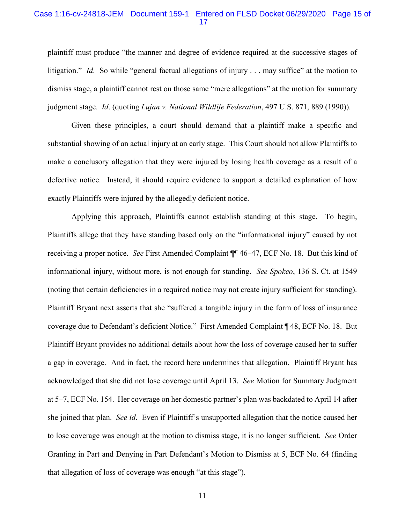## Case 1:16-cv-24818-JEM Document 159-1 Entered on FLSD Docket 06/29/2020 Page 15 of 17

plaintiff must produce "the manner and degree of evidence required at the successive stages of litigation." *Id.* So while "general factual allegations of injury . . . may suffice" at the motion to dismiss stage, a plaintiff cannot rest on those same "mere allegations" at the motion for summary judgment stage. *Id*. (quoting *Lujan v. National Wildlife Federation*, 497 U.S. 871, 889 (1990)).

Given these principles, a court should demand that a plaintiff make a specific and substantial showing of an actual injury at an early stage. This Court should not allow Plaintiffs to make a conclusory allegation that they were injured by losing health coverage as a result of a defective notice. Instead, it should require evidence to support a detailed explanation of how exactly Plaintiffs were injured by the allegedly deficient notice.

<span id="page-18-0"></span>Applying this approach, Plaintiffs cannot establish standing at this stage. To begin, Plaintiffs allege that they have standing based only on the "informational injury" caused by not receiving a proper notice. *See* First Amended Complaint ¶¶ 46–47, ECF No. 18. But this kind of informational injury, without more, is not enough for standing. *See Spokeo*, 136 S. Ct. at 1549 (noting that certain deficiencies in a required notice may not create injury sufficient for standing). Plaintiff Bryant next asserts that she "suffered a tangible injury in the form of loss of insurance coverage due to Defendant's deficient Notice." First Amended Complaint ¶ 48, ECF No. 18. But Plaintiff Bryant provides no additional details about how the loss of coverage caused her to suffer a gap in coverage. And in fact, the record here undermines that allegation. Plaintiff Bryant has acknowledged that she did not lose coverage until April 13. *See* Motion for Summary Judgment at 5–7, ECF No. 154. Her coverage on her domestic partner's plan was backdated to April 14 after she joined that plan. *See id*. Even if Plaintiff's unsupported allegation that the notice caused her to lose coverage was enough at the motion to dismiss stage, it is no longer sufficient. *See* Order Granting in Part and Denying in Part Defendant's Motion to Dismiss at 5, ECF No. 64 (finding that allegation of loss of coverage was enough "at this stage").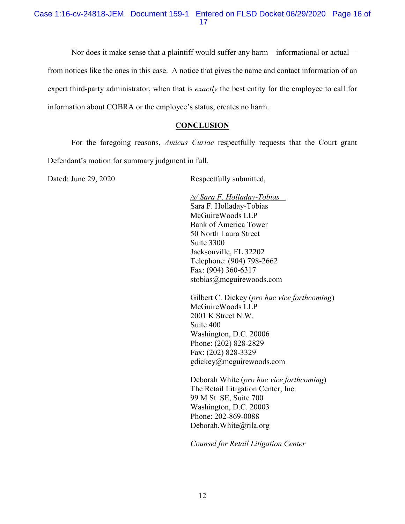## Case 1:16-cv-24818-JEM Document 159-1 Entered on FLSD Docket 06/29/2020 Page 16 of 17

Nor does it make sense that a plaintiff would suffer any harm—informational or actual from notices like the ones in this case. A notice that gives the name and contact information of an expert third-party administrator, when that is *exactly* the best entity for the employee to call for information about COBRA or the employee's status, creates no harm.

## **CONCLUSION**

<span id="page-19-0"></span>For the foregoing reasons, *Amicus Curiae* respectfully requests that the Court grant Defendant's motion for summary judgment in full.

Dated: June 29, 2020 Respectfully submitted,

*/s/ Sara F. Holladay-Tobias* Sara F. Holladay-Tobias McGuireWoods LLP Bank of America Tower 50 North Laura Street Suite 3300 Jacksonville, FL 32202 Telephone: (904) 798-2662 Fax: (904) 360-6317 stobias@mcguirewoods.com

Gilbert C. Dickey (*pro hac vice forthcoming*) McGuireWoods LLP 2001 K Street N.W. Suite 400 Washington, D.C. 20006 Phone: (202) 828-2829 Fax: (202) 828-3329 gdickey@mcguirewoods.com

Deborah White (*pro hac vice forthcoming*) The Retail Litigation Center, Inc. 99 M St. SE, Suite 700 Washington, D.C. 20003 Phone: 202-869-0088 Deborah.White@rila.org

*Counsel for Retail Litigation Center*